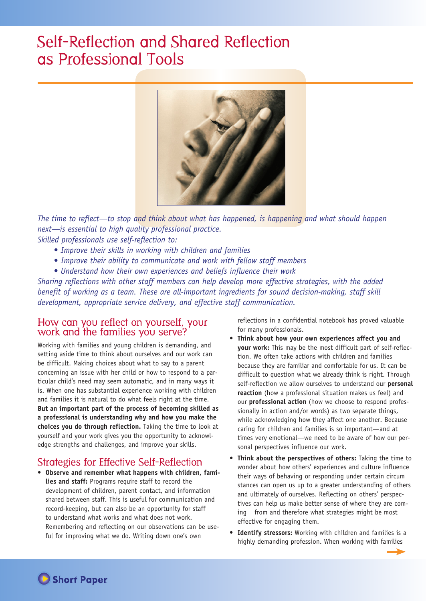# Self-Reflection and Shared Reflection as Professional Tools



*The time to reflect—to stop and think about what has happened, is happening and what should happen next—is essential to high quality professional practice. Skilled professionals use self-reflection to:* 

- • *Improve their skills in working with children and families*
- *Improve their ability to communicate and work with fellow staff members*
- *Understand how their own experiences and beliefs influence their work*

*Sharing reflections with other staff members can help develop more effective strategies, with the added benefit of working as a team. These are all-important ingredients for sound decision-making, staff skill development, appropriate service delivery, and effective staff communication.* 

## How can you reflect on yourself, your work and the families you serve?

Working with families and young children is demanding, and setting aside time to think about ourselves and our work can be difficult. Making choices about what to say to a parent concerning an issue with her child or how to respond to a particular child's need may seem automatic, and in many ways it is. When one has substantial experience working with children and families it is natural to do what feels right at the time. **But an important part of the process of becoming skilled as a professional is understanding why and how you make the choices you do through reflection.** Taking the time to look at yourself and your work gives you the opportunity to acknowledge strengths and challenges, and improve your skills.

# Strategies for Effective Self-Reflection

**• Observe and remember what happens with children, families and staff:** Programs require staff to record the development of children, parent contact, and information shared between staff. This is useful for communication and record-keeping, but can also be an opportunity for staff to understand what works and what does not work. Remembering and reflecting on our observations can be useful for improving what we do. Writing down one's own

reflections in a confidential notebook has proved valuable for many professionals.

- **Think about how your own experiences affect you and your work:** This may be the most difficult part of self-reflection. We often take actions with children and families because they are familiar and comfortable for us. It can be difficult to question what we already think is right. Through self-reflection we allow ourselves to understand our **personal reaction** (how a professional situation makes us feel) and our **professional action** (how we choose to respond professionally in action and/or words) as two separate things, while acknowledging how they affect one another. Because caring for children and families is so important—and at times very emotional—we need to be aware of how our personal perspectives influence our work.
- **Think about the perspectives of others:** Taking the time to wonder about how others' experiences and culture influence their ways of behaving or responding under certain circum stances can open us up to a greater understanding of others and ultimately of ourselves. Reflecting on others' perspectives can help us make better sense of where they are coming from and therefore what strategies might be most effective for engaging them.
- **Identify stressors:** Working with children and families is a highly demanding profession. When working with families